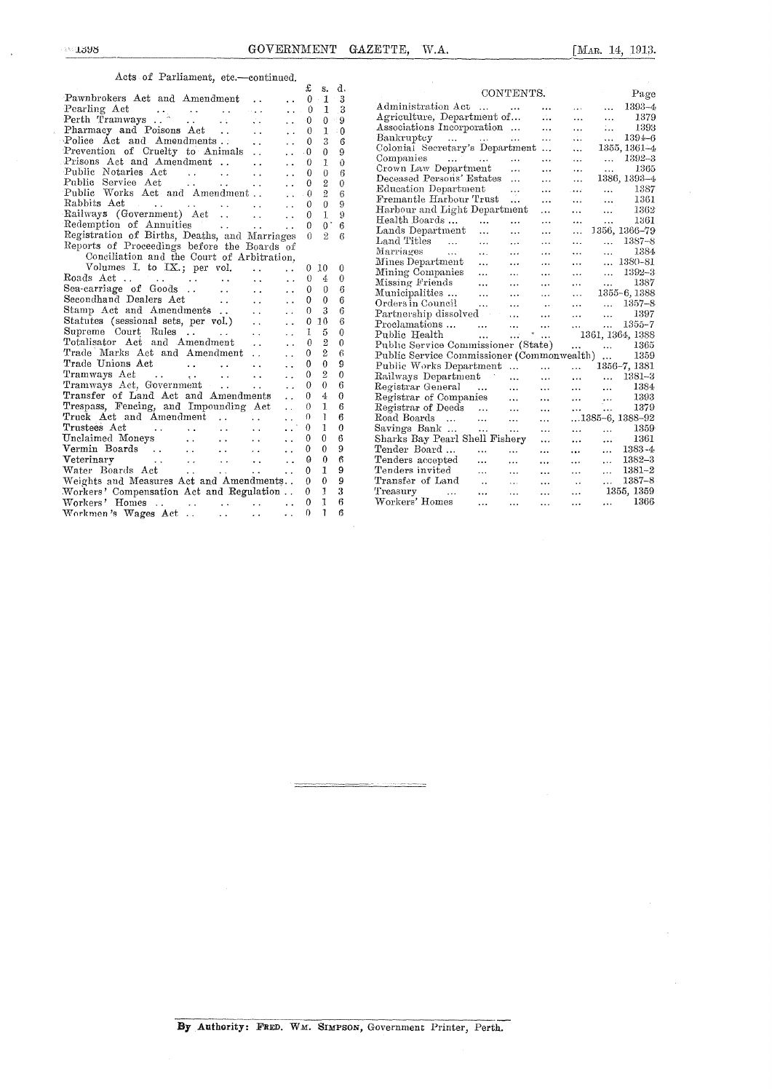$\hat{\mathcal{L}}$ 

## Acts of Parliament, etc.—continued.

|                                                                                                                                                          | £            | s.                  | d.                      |                                                                                                                               |
|----------------------------------------------------------------------------------------------------------------------------------------------------------|--------------|---------------------|-------------------------|-------------------------------------------------------------------------------------------------------------------------------|
| Pawnbrokers Act and Amendment<br>$\ddotsc$<br>$\ddot{\phantom{a}}$                                                                                       | $\theta$     | $\mathbf{1}$        | $\overline{\mathbf{3}}$ | CONTENTS.<br>Page                                                                                                             |
| Pearling Act<br>$\ddotsc$                                                                                                                                | $\Omega$     | $\mathbf{1}$        | 3                       | Administration Act<br>1393-4<br>$\sim$ $\sim$ $\sim$<br>$\cdots$<br>$\cdots$<br>$\cdots$                                      |
| $\ddot{\phantom{a}}$                                                                                                                                     | $\Omega$     | 0                   | $\overline{9}$          | Agriculture, Department of<br>$\mathcal{L}_{\text{ext}}$<br>1379<br>$\ldots$<br>$\ddotsc$                                     |
| Pharmacy and Poisons Act<br>$\sim$ $\sim$<br>$\ddot{\phantom{a}}$                                                                                        | $\theta$     | $\mathbf{I}$        | $\theta$                | Associations Incorporation<br>1393<br>$\mathcal{L}_{\mathbf{r},\mathbf{r}}$<br>$\ddotsc$<br>$\cdots$                          |
| Police Act and Amendments<br>$\ddot{\phantom{a}}$<br>$\ddot{\phantom{0}}$                                                                                | $\theta$     | 3                   | 6                       | $Bankruptcy \dots \dots \dots$<br>1394-6<br>$\mathbf{1}$<br>$\ddotsc$<br>$\ddotsc$                                            |
| Prevention of Cruelty to Animals<br>$\sim$ .<br>$\ddot{\phantom{0}}$                                                                                     | $\bf{0}$     | $\bf{0}$            | 9                       | Colonial Secretary's Department<br>1355, 1361-4<br>$\ddotsc$                                                                  |
| Prisons Act and Amendment<br>$\ddot{\phantom{a}}$<br>$\ddot{\phantom{a}}$                                                                                | $\Omega$     | 1                   | $\Omega$                | Companies<br>1392-3<br>المعترف المعقبات كالعقف المناد<br>$\ddotsc$<br>$\cdots$<br>$\cdots$                                    |
| Public Notaries Act<br>and the same of<br>$\sim$ .<br>$\ddot{\phantom{0}}$                                                                               | $\theta$     | $\theta$            | 6                       | Crown Law Department<br>1365<br>$\cdots$<br>$\ddotsc$<br>$\cdots$<br>$\cdots$                                                 |
| Public Service Act<br>$\ddot{\phantom{0}}$                                                                                                               | $\theta$     | $^{2}$              | $\Omega$                | Deceased Persons' Estates<br>1386, 1393-4<br>$\cdots$<br>$\ddotsc$                                                            |
| Public Works Act and Amendment<br>$\ddot{\phantom{a}}$                                                                                                   | $\theta$     | $\overline{2}$      | 6                       | Education Department<br>1387<br>$\cdots$<br>$\cdots$<br>$\cdots$<br>المعاقب                                                   |
| $\ddot{\phantom{a}}$                                                                                                                                     | $\theta$     | $\theta$            | 9                       | Fremantle Harbour Trust<br>1361<br>$\ddotsc$<br>$\sim 10^{-1}$<br>$\cdots$<br>$\ddotsc$                                       |
| Rabbits Act<br>Railways (Government) Act<br>$\ddot{\phantom{a}}$                                                                                         | $\theta$     | 1                   | 9                       | Harbour and Light Department<br>$\ddotsc$<br>1362<br>$\cdots$<br>$\ldots$                                                     |
| Redemption of Annuities<br>$\ddot{\phantom{a}}$                                                                                                          | $\Omega$     | $0^{\circ}$         | 6                       | Health Boards<br>1361<br>$\cdots$<br>$\ddotsc$<br>$\cdots$<br>$\cdots$                                                        |
| Registration of Births, Deaths, and Marriages                                                                                                            | $\Omega$     | $\overline{2}$      | 6                       | Lands Department<br>1356, 1366-79<br>$\mathbf{1}$<br>$\ldots$<br>$\cdots$<br>$\ddotsc$                                        |
| Reports of Proceedings before the Boards of                                                                                                              |              |                     |                         | Land Titles<br>$1387 - 8$<br>$\sim 10^{-1}$<br>$\cdots$<br>$\sim$ $\sim$<br>$\cdots$<br>$\cdots$                              |
| Conciliation and the Court of Arbitration,                                                                                                               |              |                     |                         | 1384<br>Marriages<br>$\ddotsc$<br>$\mathbf{r}$<br>$\cdots$<br>$\cdots$<br>$\cdots$                                            |
| Volumes I. to IX.; per vol.<br>$\mathbf{A}$<br>$\ddot{\phantom{a}}$                                                                                      | $\theta$     | -10                 | $\theta$                | $\dots$ 1380-81<br>Mines Department<br>$\dddotsc$<br>$\cdots$<br>$\ddotsc$<br>$\cdots$                                        |
| $\sim 10$<br>$\sim$ $\sim$                                                                                                                               | $\theta$     | 4                   | $\Omega$                | Mining Companies<br>1392-3<br>$\cdots$<br>$\cdots$<br>$\mathbf{r}$<br>$\cdots$<br>$\cdots$                                    |
| Sea-carriage of Goods<br>$\sim 10^{-1}$<br>$\ddot{\phantom{0}}$                                                                                          | $\theta$     | $\theta$            | 6                       | Missing Friends<br>1387<br>$\cdots$<br>$\mathbf{r}$<br>$\cdots$<br>$\cdots$<br>$\cdots$                                       |
| Secondhand Dealers Act<br>$\sim$<br>$\ddot{\phantom{a}}$                                                                                                 | $\mathbf{0}$ | $\mathbf{0}$        | 6                       | Municipalities<br>1355-6, 1388<br>$\ddotsc$<br>$\ddotsc$<br>$\cdots$<br>$\cdots$                                              |
| Stamp Act and Amendments<br>$\ddotsc$                                                                                                                    | $\theta$     | 3                   | 6                       | Orders in Council<br>$\dots$ 1357-8<br>$\cdots$<br>$\cdots$<br>$\sim$                                                         |
| $\ddot{\phantom{a}}$<br>Statutes (sessional sets, per vol.)<br>$\ddotsc$                                                                                 | $\mathbf{0}$ | 10                  | 6                       | Partnership dissolved<br>1397<br>$\sim 10^{-11}$<br>$\dddotsc$<br>$\cdots$<br>$\cdots$                                        |
| $\ddot{\phantom{a}}$<br>Supreme Court Rules                                                                                                              | 1            | 5                   | $\theta$                | Proclamations<br>$1355 - 7$<br>$\ddotsc$<br>$\ddotsc$<br>$\Delta\Delta\sim 10^{-11}$<br>$\ddotsc$                             |
| $\sim$ $\sim$<br>$\ddot{\phantom{a}}$<br>Totalisator Act and Amendment                                                                                   | $\theta$     | $\overline{2}$      | 0                       | Public Health<br><b>Contract Contract</b><br>$\mathbf{u}$ and $\mathbf{v}$ and $\mathbf{v}$<br>1361, 1364, 1388               |
| $\ddot{\phantom{a}}$<br>$\ddot{\phantom{a}}$<br>Trade Marks Act and Amendment                                                                            | $\theta$     | $\overline{2}$      | 6                       | Public Service Commissioner (State)<br>1365<br>$\dddotsc$<br>$\ddot{\phantom{a}}$                                             |
| $\ddot{\phantom{a}}$<br>$\ddotsc$<br>Trade Unions Act<br>and the state of the state                                                                      | $\bf{0}$     | $\theta$            | 9                       | Public Service Commissioner (Commonwealth)<br>1359                                                                            |
| $\ddot{\phantom{a}}$<br>$\ddotsc$<br>Tramways Act                                                                                                        | 0            | $\overline{2}$      | $\theta$                | Public Works Department<br>$\mathbf{1}$<br>1356-7, 1381<br>$\dddot{\phantom{0}}$                                              |
| and the state of the state of the<br>$\ddot{\phantom{a}}$ .<br>$\ddot{\phantom{a}}$<br>Tramways Act, Government                                          | $\Omega$     | $\theta$            | 6                       | Railways Department<br>$1381 - 3$<br>$\dddotsc$<br>$\mathbf{r}$<br>$\cdots$<br>$\cdots$                                       |
| $\mathbf{r}$<br>$\ddot{\phantom{a}}$<br>Transfer of Land Act and Amendments                                                                              | $\Omega$     |                     |                         | Registrar General<br>1384<br>$\cdots$<br>$\cdots$<br>$\ldots$<br>$\sim 100$                                                   |
| $\ddot{\phantom{a}}$                                                                                                                                     | $\Omega$     | $\overline{4}$<br>1 | $\theta$<br>6           | Registrar of Companies<br>1393<br>$\mathbf{r}$<br>$\mathcal{L}_{\mathbf{A},\mathbf{A}}$ .<br>$\mathbf{r}$<br>$\ddotsc$        |
| Trespass, Fencing, and Impounding Act<br>$\mathcal{L}^{\mathcal{L}}$                                                                                     |              |                     | 6                       | Registrar of Deeds<br>1379<br>$\sim 10^{-11}$<br>$\cdots$<br>$\ddotsc$<br>$\cdots$                                            |
| Truck Act and Amendment<br>$\mathbf{L}$<br>$\sim$ $\sim$                                                                                                 | $\Omega$     | ı                   |                         | Road Boards<br>$1385-6, 1388-92$<br>$\mathbf{1}$<br>$\cdots$<br>$\ddotsc$                                                     |
| $\sim$<br>Trustees Act<br>$\sim 10$<br><b>Contract Contract</b><br>$\mathcal{L}(\mathcal{L})$ .<br>$\sim$                                                | $\Omega$     | $\mathbf{1}$        | $\theta$                | Savings Bank<br>1359<br>$\sim 100$ km s $^{-1}$<br>$\ddotsc$<br>$\sim 10^{-1}$<br>$\cdots$<br>$\cdots$                        |
| Unclaimed Moneys<br>$\sim$ $\sim$<br>$\sim 10$<br>$\ddot{\phantom{a}}$                                                                                   | $\Omega$     | $\Omega$            | 6                       | 1361<br>Sharks Bay Pearl Shell Fishery<br>$\ldots$<br>$\ddotsc$<br>$\cdots$                                                   |
| $\mathcal{L}(\mathcal{L},\mathcal{L})$ . The $\mathcal{L}(\mathcal{L},\mathcal{L})$<br>Vermin Boards<br>$\sim 10$<br>$\ddot{\phantom{a}}$                | $\theta$     | 0                   | 9                       | Tender Board<br>$\mathbf{1}$<br>$1383 - 4$<br>$\mathbf{1}$<br>$\mathbf{r}$<br>$\cdots$<br>$\cdots$                            |
| $\Lambda$ Veterinarv<br>and the state of the state of the state of the state of the state of the state of the state of the state of the<br>$\sim$ $\sim$ | $\Omega$     | $\Omega$            | 6                       | 1382-3<br>Tenders accepted<br>$\dddotsc$<br>$\cdots$<br>$\cdots$<br>$\cdots$<br>$\cdots$                                      |
| Water Boards Act<br>$\mathbf{r}$ and $\mathbf{r}$ are associated as a set of $\mathbf{r}$<br>$\ddot{\phantom{a}}$                                        | $\Omega$     | 1                   | 9                       | Tenders invited<br>1381-2<br>$\cdots$<br>$\ddotsc$<br>$\cdots$<br>$\cdots$<br>$\cdots$                                        |
| Weights and Measures Act and Amendments                                                                                                                  | $\theta$     | $\mathbf{0}$        | 9                       | Transfer of Land<br>1387-8<br>$\sim$<br>$\mathcal{L}_{\mathbf{a},\mathbf{b},\mathbf{c}}$<br>$\cdots$<br>$\cdots$<br>$\ddotsc$ |
| Workers' Compensation Act and Regulation                                                                                                                 | $\theta$     | 1                   | 3                       | 1355, 1359<br>Treasury<br>$\ddotsc$<br>$\cdots$<br>$\cdots$<br>$\cdots$                                                       |
| Workers' Homes                                                                                                                                           | $\theta$     | 1                   | 6                       | Workers' Homes<br>1366<br>$\ddotsc$<br>$\cdots$<br>$\ddotsc$<br>$\dddotsc$<br>$\ddotsc$                                       |
| $\sim$ $\sim$                                                                                                                                            | $\Omega$     | $\mathbf{1}$        | 6                       |                                                                                                                               |

l,

.<br>Na forma na Malina wa 1999 ya Malina matsayin kutoka 1991 - 1991 - 1991 - 1991 - 1991 - 1991 - 1991 - 1991 - 1

ł,